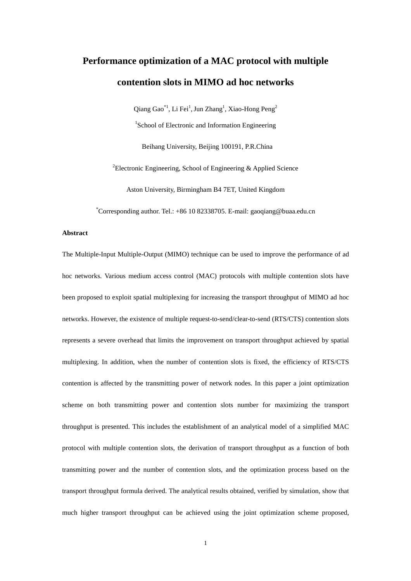# **Performance optimization of a MAC protocol with multiple contention slots in MIMO ad hoc networks**

Qiang Gao<sup>\*1</sup>, Li Fei<sup>1</sup>, Jun Zhang<sup>1</sup>, Xiao-Hong Peng<sup>2</sup> <sup>1</sup>School of Electronic and Information Engineering

Beihang University, Beijing 100191, P.R.China

<sup>2</sup>Electronic Engineering, School of Engineering  $\&$  Applied Science

Aston University, Birmingham B4 7ET, United Kingdom

\*Corresponding author. Tel.: +86 10 82338705. E-mail: gaoqiang@buaa.edu.cn

# **Abstract**

The Multiple-Input Multiple-Output (MIMO) technique can be used to improve the performance of ad hoc networks. Various medium access control (MAC) protocols with multiple contention slots have been proposed to exploit spatial multiplexing for increasing the transport throughput of MIMO ad hoc networks. However, the existence of multiple request-to-send/clear-to-send (RTS/CTS) contention slots represents a severe overhead that limits the improvement on transport throughput achieved by spatial multiplexing. In addition, when the number of contention slots is fixed, the efficiency of RTS/CTS contention is affected by the transmitting power of network nodes. In this paper a joint optimization scheme on both transmitting power and contention slots number for maximizing the transport throughput is presented. This includes the establishment of an analytical model of a simplified MAC protocol with multiple contention slots, the derivation of transport throughput as a function of both transmitting power and the number of contention slots, and the optimization process based on the transport throughput formula derived. The analytical results obtained, verified by simulation, show that much higher transport throughput can be achieved using the joint optimization scheme proposed,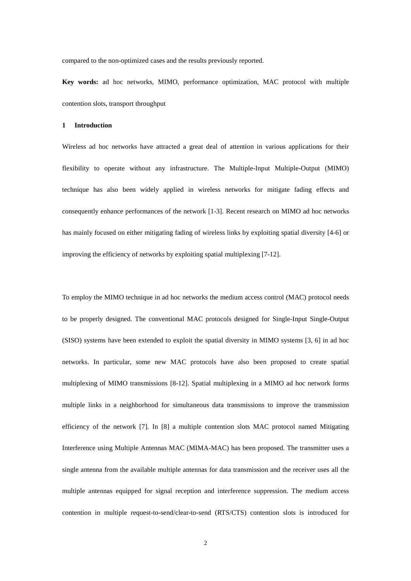compared to the non-optimized cases and the results previously reported.

**Key words:** ad hoc networks, MIMO, performance optimization, MAC protocol with multiple contention slots, transport throughput

# **1 Introduction**

Wireless ad hoc networks have attracted a great deal of attention in various applications for their flexibility to operate without any infrastructure. The Multiple-Input Multiple-Output (MIMO) technique has also been widely applied in wireless networks for mitigate fading effects and consequently enhance performances of the network [1-3]. Recent research on MIMO ad hoc networks has mainly focused on either mitigating fading of wireless links by exploiting spatial diversity [4-6] or improving the efficiency of networks by exploiting spatial multiplexing [7-12].

To employ the MIMO technique in ad hoc networks the medium access control (MAC) protocol needs to be properly designed. The conventional MAC protocols designed for Single-Input Single-Output (SISO) systems have been extended to exploit the spatial diversity in MIMO systems [3, 6] in ad hoc networks. In particular, some new MAC protocols have also been proposed to create spatial multiplexing of MIMO transmissions [8-12]. Spatial multiplexing in a MIMO ad hoc network forms multiple links in a neighborhood for simultaneous data transmissions to improve the transmission efficiency of the network [7]. In [8] a multiple contention slots MAC protocol named Mitigating Interference using Multiple Antennas MAC (MIMA-MAC) has been proposed. The transmitter uses a single antenna from the available multiple antennas for data transmission and the receiver uses all the multiple antennas equipped for signal reception and interference suppression. The medium access contention in multiple request-to-send/clear-to-send (RTS/CTS) contention slots is introduced for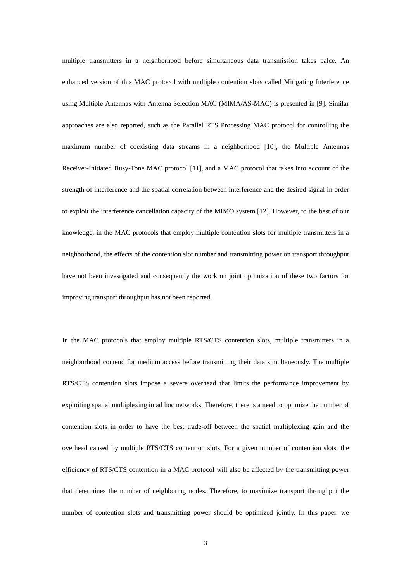multiple transmitters in a neighborhood before simultaneous data transmission takes palce. An enhanced version of this MAC protocol with multiple contention slots called Mitigating Interference using Multiple Antennas with Antenna Selection MAC (MIMA/AS-MAC) is presented in [9]. Similar approaches are also reported, such as the Parallel RTS Processing MAC protocol for controlling the maximum number of coexisting data streams in a neighborhood [10], the Multiple Antennas Receiver-Initiated Busy-Tone MAC protocol [11], and a MAC protocol that takes into account of the strength of interference and the spatial correlation between interference and the desired signal in order to exploit the interference cancellation capacity of the MIMO system [12]. However, to the best of our knowledge, in the MAC protocols that employ multiple contention slots for multiple transmitters in a neighborhood, the effects of the contention slot number and transmitting power on transport throughput have not been investigated and consequently the work on joint optimization of these two factors for improving transport throughput has not been reported.

In the MAC protocols that employ multiple RTS/CTS contention slots, multiple transmitters in a neighborhood contend for medium access before transmitting their data simultaneously. The multiple RTS/CTS contention slots impose a severe overhead that limits the performance improvement by exploiting spatial multiplexing in ad hoc networks. Therefore, there is a need to optimize the number of contention slots in order to have the best trade-off between the spatial multiplexing gain and the overhead caused by multiple RTS/CTS contention slots. For a given number of contention slots, the efficiency of RTS/CTS contention in a MAC protocol will also be affected by the transmitting power that determines the number of neighboring nodes. Therefore, to maximize transport throughput the number of contention slots and transmitting power should be optimized jointly. In this paper, we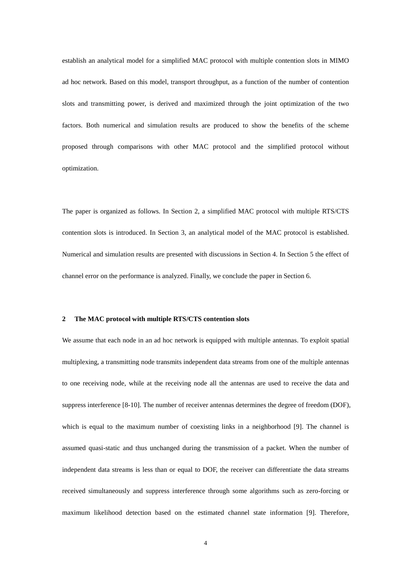establish an analytical model for a simplified MAC protocol with multiple contention slots in MIMO ad hoc network. Based on this model, transport throughput, as a function of the number of contention slots and transmitting power, is derived and maximized through the joint optimization of the two factors. Both numerical and simulation results are produced to show the benefits of the scheme proposed through comparisons with other MAC protocol and the simplified protocol without optimization.

The paper is organized as follows. In Section 2, a simplified MAC protocol with multiple RTS/CTS contention slots is introduced. In Section 3, an analytical model of the MAC protocol is established. Numerical and simulation results are presented with discussions in Section 4. In Section 5 the effect of channel error on the performance is analyzed. Finally, we conclude the paper in Section 6.

## **2 The MAC protocol with multiple RTS/CTS contention slots**

We assume that each node in an ad hoc network is equipped with multiple antennas. To exploit spatial multiplexing, a transmitting node transmits independent data streams from one of the multiple antennas to one receiving node, while at the receiving node all the antennas are used to receive the data and suppress interference [8-10]. The number of receiver antennas determines the degree of freedom (DOF), which is equal to the maximum number of coexisting links in a neighborhood [9]. The channel is assumed quasi-static and thus unchanged during the transmission of a packet. When the number of independent data streams is less than or equal to DOF, the receiver can differentiate the data streams received simultaneously and suppress interference through some algorithms such as zero-forcing or maximum likelihood detection based on the estimated channel state information [9]. Therefore,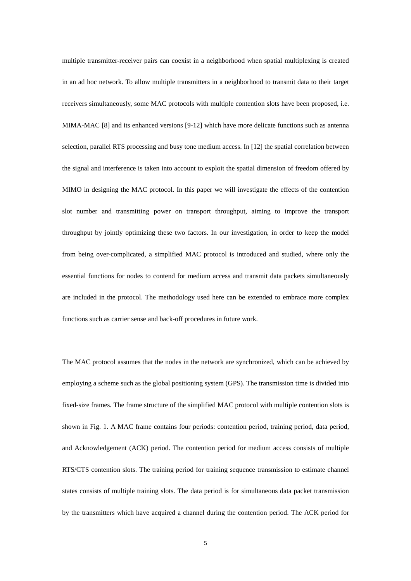multiple transmitter-receiver pairs can coexist in a neighborhood when spatial multiplexing is created in an ad hoc network. To allow multiple transmitters in a neighborhood to transmit data to their target receivers simultaneously, some MAC protocols with multiple contention slots have been proposed, i.e. MIMA-MAC [8] and its enhanced versions [9-12] which have more delicate functions such as antenna selection, parallel RTS processing and busy tone medium access. In [12] the spatial correlation between the signal and interference is taken into account to exploit the spatial dimension of freedom offered by MIMO in designing the MAC protocol. In this paper we will investigate the effects of the contention slot number and transmitting power on transport throughput, aiming to improve the transport throughput by jointly optimizing these two factors. In our investigation, in order to keep the model from being over-complicated, a simplified MAC protocol is introduced and studied, where only the essential functions for nodes to contend for medium access and transmit data packets simultaneously are included in the protocol. The methodology used here can be extended to embrace more complex functions such as carrier sense and back-off procedures in future work.

The MAC protocol assumes that the nodes in the network are synchronized, which can be achieved by employing a scheme such as the global positioning system (GPS). The transmission time is divided into fixed-size frames. The frame structure of the simplified MAC protocol with multiple contention slots is shown in Fig. 1. A MAC frame contains four periods: contention period, training period, data period, and Acknowledgement (ACK) period. The contention period for medium access consists of multiple RTS/CTS contention slots. The training period for training sequence transmission to estimate channel states consists of multiple training slots. The data period is for simultaneous data packet transmission by the transmitters which have acquired a channel during the contention period. The ACK period for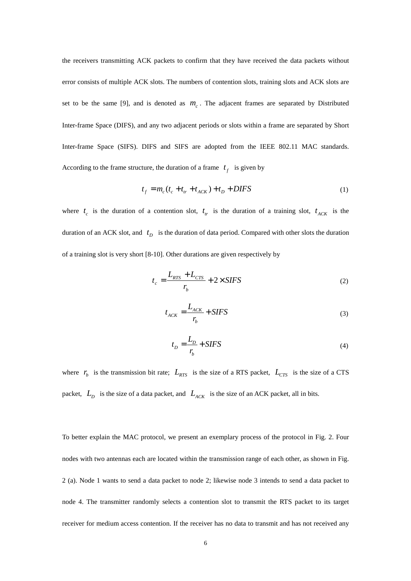the receivers transmitting ACK packets to confirm that they have received the data packets without error consists of multiple ACK slots. The numbers of contention slots, training slots and ACK slots are set to be the same [9], and is denoted as  $m<sub>c</sub>$ . The adjacent frames are separated by Distributed Inter-frame Space (DIFS), and any two adjacent periods or slots within a frame are separated by Short Inter-frame Space (SIFS). DIFS and SIFS are adopted from the IEEE 802.11 MAC standards. According to the frame structure, the duration of a frame  $t_f$  is given by

$$
t_f = m_c (t_c + t_{tr} + t_{ACK}) + t_D + DIFS
$$
 (1)

where  $t_c$  is the duration of a contention slot,  $t_r$  is the duration of a training slot,  $t_{ACK}$  is the duration of an ACK slot, and  $t<sub>D</sub>$  is the duration of data period. Compared with other slots the duration of a training slot is very short [8-10]. Other durations are given respectively by

$$
t_c = \frac{L_{RTS} + L_{CTS}}{r_b} + 2 \times SIFS
$$
 (2)

$$
t_{ACK} = \frac{L_{ACK}}{r_b} + SIFS \tag{3}
$$

$$
t_D = \frac{L_D}{r_b} + SIFS \tag{4}
$$

where  $r_b$  is the transmission bit rate;  $L_{RTS}$  is the size of a RTS packet,  $L_{CTS}$  is the size of a CTS packet,  $L_D$  is the size of a data packet, and  $L_{ACK}$  is the size of an ACK packet, all in bits.

To better explain the MAC protocol, we present an exemplary process of the protocol in Fig. 2. Four nodes with two antennas each are located within the transmission range of each other, as shown in Fig. 2 (a). Node 1 wants to send a data packet to node 2; likewise node 3 intends to send a data packet to node 4. The transmitter randomly selects a contention slot to transmit the RTS packet to its target receiver for medium access contention. If the receiver has no data to transmit and has not received any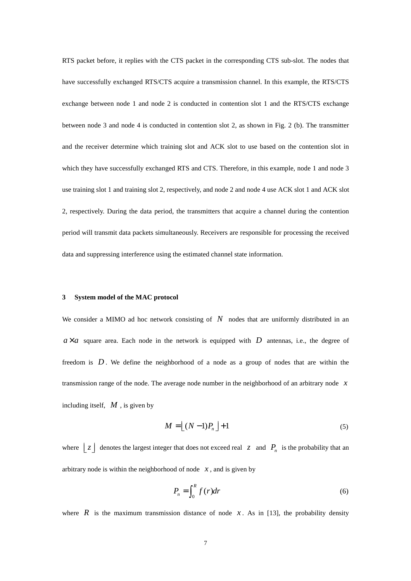RTS packet before, it replies with the CTS packet in the corresponding CTS sub-slot. The nodes that have successfully exchanged RTS/CTS acquire a transmission channel. In this example, the RTS/CTS exchange between node 1 and node 2 is conducted in contention slot 1 and the RTS/CTS exchange between node 3 and node 4 is conducted in contention slot 2, as shown in Fig. 2 (b). The transmitter and the receiver determine which training slot and ACK slot to use based on the contention slot in which they have successfully exchanged RTS and CTS. Therefore, in this example, node 1 and node 3 use training slot 1 and training slot 2, respectively, and node 2 and node 4 use ACK slot 1 and ACK slot 2, respectively. During the data period, the transmitters that acquire a channel during the contention period will transmit data packets simultaneously. Receivers are responsible for processing the received data and suppressing interference using the estimated channel state information.

#### **3 System model of the MAC protocol**

We consider a MIMO ad hoc network consisting of N nodes that are uniformly distributed in an  $a \times a$  square area. Each node in the network is equipped with *D* antennas, i.e., the degree of freedom is *D* . We define the neighborhood of a node as a group of nodes that are within the transmission range of the node. The average node number in the neighborhood of an arbitrary node *x* including itself, *M* , is given by

$$
M = \lfloor (N-1)P_n \rfloor + 1 \tag{5}
$$

where  $\lfloor z \rfloor$  denotes the largest integer that does not exceed real  $z$  and  $P_n$  is the probability that an arbitrary node is within the neighborhood of node  $x$ , and is given by

$$
P_n = \int_0^R f(r) dr \tag{6}
$$

where  $\vec{R}$  is the maximum transmission distance of node  $\vec{x}$ . As in [13], the probability density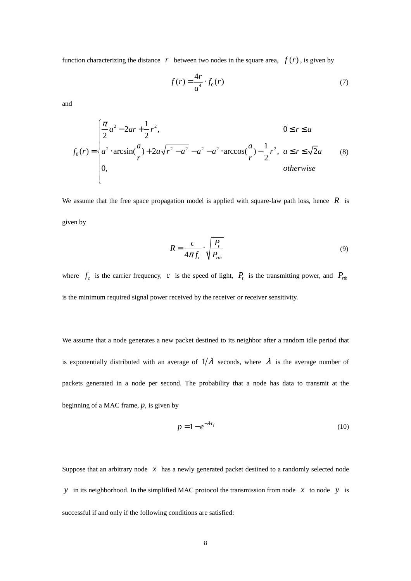function characterizing the distance  $r$  between two nodes in the square area,  $f(r)$ , is given by

$$
f(r) = \frac{4r}{a^4} \cdot f_0(r) \tag{7}
$$

and

$$
f_0(r) = \begin{cases} \frac{\pi}{2}a^2 - 2ar + \frac{1}{2}r^2, & 0 \le r \le a \\ a^2 \cdot \arcsin(\frac{a}{r}) + 2a\sqrt{r^2 - a^2} - a^2 - a^2 \cdot \arccos(\frac{a}{r}) - \frac{1}{2}r^2, & a \le r \le \sqrt{2}a \\ 0, & \text{otherwise} \end{cases}
$$
 (8)

We assume that the free space propagation model is applied with square-law path loss, hence *R* is given by

$$
R = \frac{c}{4\pi f_c} \cdot \sqrt{\frac{P_t}{P_{rth}}}
$$
(9)

where  $f_c$  is the carrier frequency, *c* is the speed of light,  $P_t$  is the transmitting power, and  $P_{rth}$ is the minimum required signal power received by the receiver or receiver sensitivity.

We assume that a node generates a new packet destined to its neighbor after a random idle period that is exponentially distributed with an average of  $1/\lambda$  seconds, where  $\lambda$  is the average number of packets generated in a node per second. The probability that a node has data to transmit at the beginning of a MAC frame, *p*, is given by

$$
p = 1 - e^{-\lambda t_f} \tag{10}
$$

Suppose that an arbitrary node  $x$  has a newly generated packet destined to a randomly selected node *y* in its neighborhood. In the simplified MAC protocol the transmission from node *x* to node *y* is successful if and only if the following conditions are satisfied: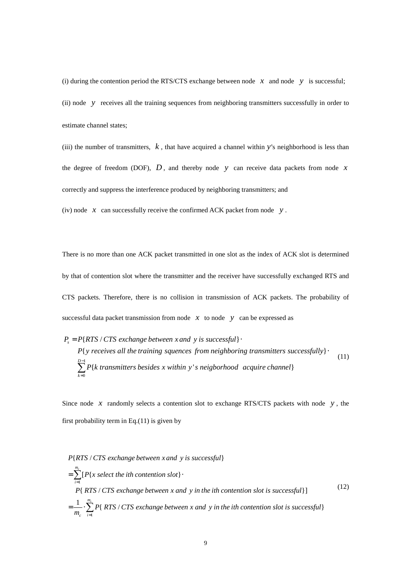(i) during the contention period the RTS/CTS exchange between node  $x$  and node  $y$  is successful; (ii) node *y* receives all the training sequences from neighboring transmitters successfully in order to estimate channel states;

(iii) the number of transmitters, *k* , that have acquired a channel within *y*'s neighborhood is less than the degree of freedom (DOF),  $D$ , and thereby node  $y$  can receive data packets from node  $x$ correctly and suppress the interference produced by neighboring transmitters; and

(iv) node *x* can successfully receive the confirmed ACK packet from node *y* .

There is no more than one ACK packet transmitted in one slot as the index of ACK slot is determined by that of contention slot where the transmitter and the receiver have successfully exchanged RTS and CTS packets. Therefore, there is no collision in transmission of ACK packets. The probability of successful data packet transmission from node  $x$  to node  $y$  can be expressed as

$$
P_s = P\{RTS \mid CTS \text{ exchange between } x \text{ and } y \text{ is successful}\}
$$
\n
$$
P\{y \text{ receives all the training sequences from neighboring transmitters successfully}\}
$$
\n
$$
\sum_{k=0}^{D-1} P\{k \text{ transmitters besides } x \text{ within } y \text{ is neighborhood} \text{ acquire channel}\}
$$
\n
$$
(11)
$$

Since node  $x$  randomly selects a contention slot to exchange RTS/CTS packets with node  $y$ , the first probability term in Eq.(11) is given by

$$
P\{RTS \mid CTS \text{ exchange between } x \text{ and } y \text{ is successful}\}
$$
\n
$$
= \sum_{i=1}^{m_e} [P\{x \text{ select the } i\text{th contention slot}\} \cdot P\{RTS \mid CTS \text{ exchange between } x \text{ and } y \text{ in the } i\text{th contention slot is successful}\}]
$$
\n
$$
= \frac{1}{m_e} \cdot \sum_{i=1}^{m_e} P\{RTS \mid CTS \text{ exchange between } x \text{ and } y \text{ in the } i\text{th contention slot is successful}\}
$$
\n
$$
(12)
$$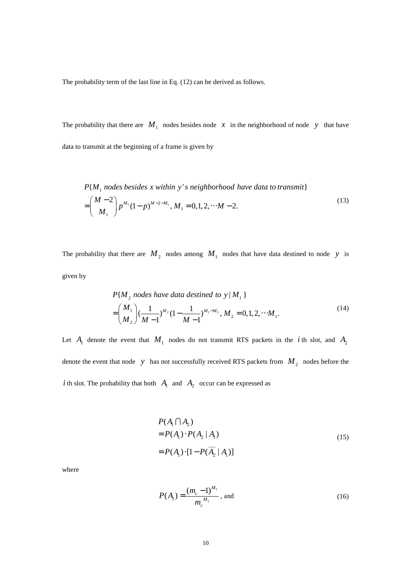The probability term of the last line in Eq. (12) can be derived as follows.

The probability that there are  $M_1$  nodes besides node  $x$  in the neighborhood of node  $y$  that have data to transmit at the beginning of a frame is given by

$$
P\{M_1 \text{ nodes besides } x \text{ within } y's \text{ neighborhood have data to transmit}\}\
$$

$$
= \binom{M-2}{M_1} p^{M_1} (1-p)^{M-2-M_1}, M_1 = 0, 1, 2, \cdots M-2.
$$
 (13)

The probability that there are  $M_2$  nodes among  $M_1$  nodes that have data destined to node *y* is given by

$$
P\{M_2 \text{ nodes have data destined to } y \mid M_1 \}
$$
  
=  $\binom{M_1}{M_2} \left(\frac{1}{M-1}\right)^{M_2} \left(1 - \frac{1}{M-1}\right)^{M_1 - M_2}, M_2 = 0, 1, 2, \cdots M_1.$  (14)

Let  $A_1$  denote the event that  $M_1$  nodes do not transmit RTS packets in the *i* th slot, and  $A_2$ denote the event that node *y* has not successfully received RTS packets from  $M_2$  nodes before the *i* th slot. The probability that both  $A_1$  and  $A_2$  occur can be expressed as

$$
P(A_1 \cap A_2)
$$
  
=  $P(A_1) \cdot P(A_2 | A_1)$   
=  $P(A_1) \cdot [1 - P(A_2 | A_1)]$  (15)

where

$$
P(A_1) = \frac{(m_c - 1)^{M_1}}{m_c^{M_1}}, \text{ and}
$$
 (16)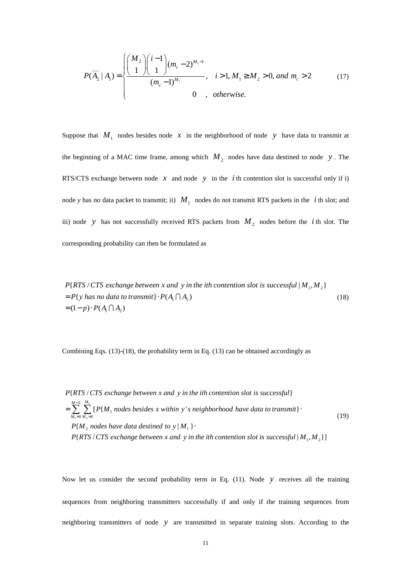$$
P(\overline{A_2} \mid A_1) = \begin{cases} \left(\frac{M_2}{1}\right) \binom{i-1}{1} (m_c - 2)^{M_1 - 1} & i > 1, M_1 \ge M_2 > 0, \text{ and } m_c > 2\\ \left(\frac{(m_c - 1)^{M_1}}{M_c - 1}\right) & 0 & \text{, otherwise.} \end{cases} \tag{17}
$$

Suppose that  $M_1$  nodes besides node x in the neighborhood of node y have data to transmit at the beginning of a MAC time frame, among which  $M_2$  nodes have data destined to node  $y$ . The RTS/CTS exchange between node  $x$  and node  $y$  in the *i* th contention slot is successful only if i) node *y* has no data packet to transmit; ii)  $M_1$  nodes do not transmit RTS packets in the *i* th slot; and iii) node *y* has not successfully received RTS packets from  $M_2$  nodes before the *i* th slot. The corresponding probability can then be formulated as

 $P\{RTS/CTS\ exchange\ between\ x\ and\ y\ in\ the\ ith\ content\ of\ is\ successful\ |M_{1},M_{2}\}$  $= P\{y \text{ has no data to transmit}\}\cdot P(A_1 \cap A_2)$  $= (1-p) \cdot P(A_1 \cap A_2)$ (18)

Combining Eqs.  $(13)-(18)$ , the probability term in Eq.  $(13)$  can be obtained accordingly as

1  $1 = 0$  M<sub>2</sub> 2  $\sum_{0 \, M_2=0}$   $\binom{1}{1}$   $\binom{1}{1}$  $P{M<sub>2</sub>}$  nodes have data destined to  $y|M<sub>1</sub>|$ . P{RTS / CTS exchange between x and y in the ith contention slot is successful}  $\sum_{i=1}^{M-2} \sum_{i=1}^{M_i} [P\{M_i\}$  nodes besides x within y's neighborhood have data to transmit}  $P(RTS/CTS)$  exchange between x and y in the ith contention slot is successful  $|M_1, M_2\}]$  $M_1 = 0$  *M* −2 <sup>M<sub>1</sub></sup><br>
F  $\sum_{n=1}^{M_1}$  [P{M<sub>1</sub> nodes besides x within y's neighborhood have data to transmit  $= 0 M_2 =$  $=\sum_{n=1}^{\infty}\sum_{n=1}^{\infty} [P\{M_{n}\}$  nodes besides x within y's neighborhood have data to transmit} (19)

Now let us consider the second probability term in Eq. (11). Node *y* receives all the training sequences from neighboring transmitters successfully if and only if the training sequences from neighboring transmitters of node *y* are transmitted in separate training slots. According to the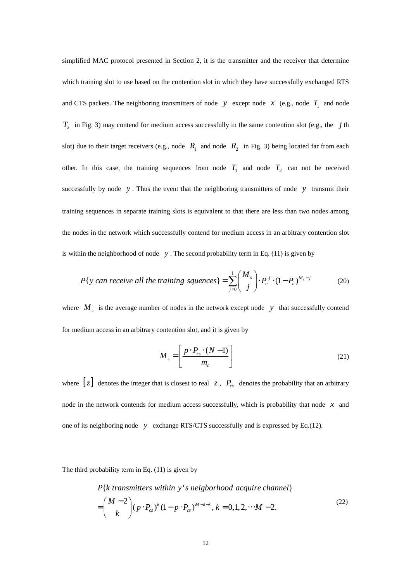simplified MAC protocol presented in Section 2, it is the transmitter and the receiver that determine which training slot to use based on the contention slot in which they have successfully exchanged RTS and CTS packets. The neighboring transmitters of node *y* except node *x* (e.g., node  $T_1$  and node  $T_2$  in Fig. 3) may contend for medium access successfully in the same contention slot (e.g., the *j* th slot) due to their target receivers (e.g., node  $R_1$  and node  $R_2$  in Fig. 3) being located far from each other. In this case, the training sequences from node  $T_1$  and node  $T_2$  can not be received successfully by node *y* . Thus the event that the neighboring transmitters of node *y* transmit their training sequences in separate training slots is equivalent to that there are less than two nodes among the nodes in the network which successfully contend for medium access in an arbitrary contention slot is within the neighborhood of node  $y$ . The second probability term in Eq. (11) is given by

$$
P\{y \text{ can receive all the training squares}\} = \sum_{j=0}^{1} {M_s \choose j} \cdot P_n^{j} \cdot (1 - P_n)^{M_s - j} \tag{20}
$$

where  $M_s$  is the average number of nodes in the network except node *y* that successfully contend for medium access in an arbitrary contention slot, and it is given by

$$
M_s = \left[ \frac{p \cdot P_{cs} \cdot (N-1)}{m_c} \right]
$$
 (21)

where  $[z]$  denotes the integer that is closest to real  $z$ ,  $P_{cs}$  denotes the probability that an arbitrary node in the network contends for medium access successfully, which is probability that node *x* and one of its neighboring node *y* exchange RTS/CTS successfully and is expressed by Eq.(12).

The third probability term in Eq. (11) is given by

 $2\left[ (p \cdot P_{cs})^k (1-p \cdot P_{cs})^{M-2-k}, k=0,1,2,\cdots M-2 \right]$  $P\{k \text{ transmitters within } y \text{'s neighborhood acquire channel}\}$ *M*  $p \cdot P_{cs}^{\,k}$   $\left(1 - p \cdot P_{cs}^{\,k}\right)^{M-2-k}, k = 0, 1, 2, \cdots M$ *k*  $\left(M-2\right)_{\left(n\right)}$   $R\lambda^{k}(1\right)$   $R\lambda^{M-2-1}$  $=\begin{pmatrix} -\kappa & -\kappa \ k & \end{pmatrix} (p \cdot P_{cs})^k (1-p \cdot P_{cs})^{M-2-k}, k = 0, 1, 2, \cdots M-$ (22)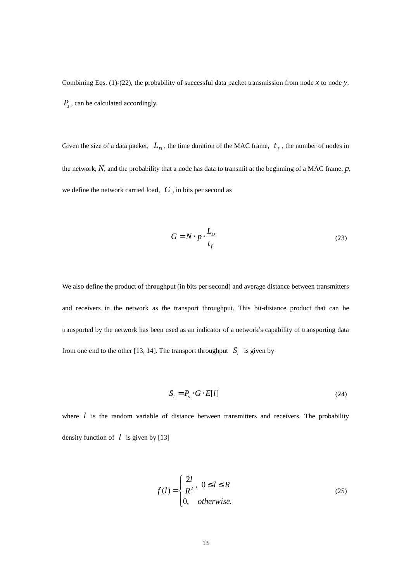Combining Eqs. (1)-(22), the probability of successful data packet transmission from node  $x$  to node  $y$ , *Ps* , can be calculated accordingly.

Given the size of a data packet,  $L<sub>D</sub>$ , the time duration of the MAC frame,  $t<sub>f</sub>$ , the number of nodes in the network, *N*, and the probability that a node has data to transmit at the beginning of a MAC frame, *p*, we define the network carried load, *G* , in bits per second as

$$
G = N \cdot p \cdot \frac{L_p}{t_f} \tag{23}
$$

We also define the product of throughput (in bits per second) and average distance between transmitters and receivers in the network as the transport throughput. This bit-distance product that can be transported by the network has been used as an indicator of a network's capability of transporting data from one end to the other [13, 14]. The transport throughput  $S_t$  is given by

$$
S_t = P_s \cdot G \cdot E[l] \tag{24}
$$

where *l* is the random variable of distance between transmitters and receivers. The probability density function of  $\ell$  is given by [13]

$$
f(l) = \begin{cases} \frac{2l}{R^2}, & 0 \le l \le R \\ 0, & otherwise. \end{cases}
$$
 (25)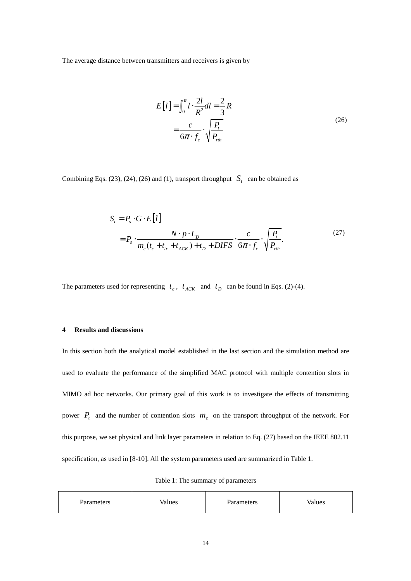The average distance between transmitters and receivers is given by

$$
E[l] = \int_0^R l \cdot \frac{2l}{R^2} dl = \frac{2}{3} R
$$
  
= 
$$
\frac{c}{6\pi \cdot f_c} \cdot \sqrt{\frac{P_t}{P_{rth}}}
$$
 (26)

Combining Eqs. (23), (24), (26) and (1), transport throughput  $S_t$  can be obtained as

$$
S_t = P_s \cdot G \cdot E[l]
$$
  
=  $P_s \cdot \frac{N \cdot p \cdot L_D}{m_c(t_c + t_{tr} + t_{ACK}) + t_D + DIFS} \cdot \frac{c}{6\pi \cdot f_c} \cdot \sqrt{\frac{P_t}{P_{rth}}}.$  (27)

The parameters used for representing  $t_c$ ,  $t_{ACK}$  and  $t_p$  can be found in Eqs. (2)-(4).

# **4 Results and discussions**

In this section both the analytical model established in the last section and the simulation method are used to evaluate the performance of the simplified MAC protocol with multiple contention slots in MIMO ad hoc networks. Our primary goal of this work is to investigate the effects of transmitting power  $P_t$  and the number of contention slots  $m_c$  on the transport throughput of the network. For this purpose, we set physical and link layer parameters in relation to Eq. (27) based on the IEEE 802.11 specification, as used in [8-10]. All the system parameters used are summarized in Table 1.

|  |  | Table 1: The summary of parameters |
|--|--|------------------------------------|
|--|--|------------------------------------|

| Parameters | √alues | Parameters | Values |
|------------|--------|------------|--------|
|------------|--------|------------|--------|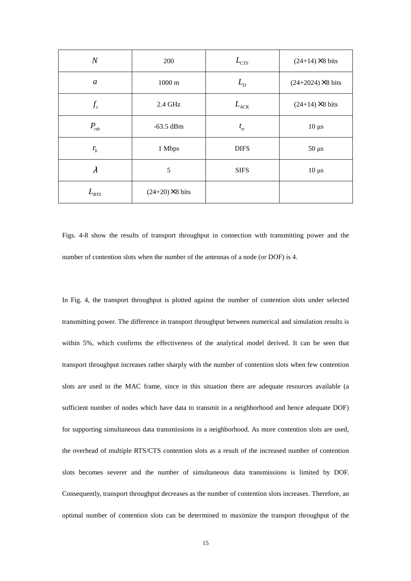| $\boldsymbol{N}$                 | 200                    | $L_{\text{CTS}}$              | $(24+14)\times 8$ bits    |  |
|----------------------------------|------------------------|-------------------------------|---------------------------|--|
| $\mathfrak a$                    | $1000 \text{ m}$       | $L_{D}$                       | $(24+2024) \times 8$ bits |  |
| $f_c$                            | 2.4 GHz                | $L_{\scriptscriptstyle{ACK}}$ | $(24+14)\times 8$ bits    |  |
| $P_{rth}$                        | $-63.5$ dBm            | $t_{tr}$                      | $10 \mu s$                |  |
| $r_{\!{}_b}$                     | 1 Mbps                 | <b>DIFS</b>                   | $50 \mu s$                |  |
| $\lambda$                        | 5                      | <b>SIFS</b>                   | $10 \mu s$                |  |
| $L_{\rm \scriptscriptstyle RTS}$ | $(24+20)\times 8$ bits |                               |                           |  |

Figs. 4-8 show the results of transport throughput in connection with transmitting power and the number of contention slots when the number of the antennas of a node (or DOF) is 4.

In Fig. 4, the transport throughput is plotted against the number of contention slots under selected transmitting power. The difference in transport throughput between numerical and simulation results is within 5%, which confirms the effectiveness of the analytical model derived. It can be seen that transport throughput increases rather sharply with the number of contention slots when few contention slots are used in the MAC frame, since in this situation there are adequate resources available (a sufficient number of nodes which have data to transmit in a neighborhood and hence adequate DOF) for supporting simultaneous data transmissions in a neighborhood. As more contention slots are used, the overhead of multiple RTS/CTS contention slots as a result of the increased number of contention slots becomes severer and the number of simultaneous data transmissions is limited by DOF. Consequently, transport throughput decreases as the number of contention slots increases. Therefore, an optimal number of contention slots can be determined to maximize the transport throughput of the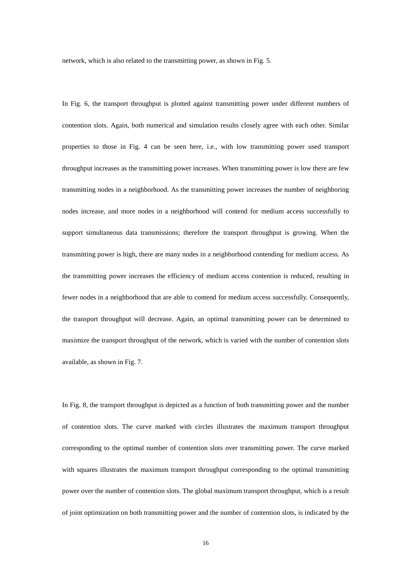network, which is also related to the transmitting power, as shown in Fig. 5.

In Fig. 6, the transport throughput is plotted against transmitting power under different numbers of contention slots. Again, both numerical and simulation results closely agree with each other. Similar properties to those in Fig. 4 can be seen here, i.e., with low transmitting power used transport throughput increases as the transmitting power increases. When transmitting power is low there are few transmitting nodes in a neighborhood. As the transmitting power increases the number of neighboring nodes increase, and more nodes in a neighborhood will contend for medium access successfully to support simultaneous data transmissions; therefore the transport throughput is growing. When the transmitting power is high, there are many nodes in a neighborhood contending for medium access. As the transmitting power increases the efficiency of medium access contention is reduced, resulting in fewer nodes in a neighborhood that are able to contend for medium access successfully. Consequently, the transport throughput will decrease. Again, an optimal transmitting power can be determined to maximize the transport throughput of the network, which is varied with the number of contention slots available, as shown in Fig. 7.

In Fig. 8, the transport throughput is depicted as a function of both transmitting power and the number of contention slots. The curve marked with circles illustrates the maximum transport throughput corresponding to the optimal number of contention slots over transmitting power. The curve marked with squares illustrates the maximum transport throughput corresponding to the optimal transmitting power over the number of contention slots. The global maximum transport throughput, which is a result of joint optimization on both transmitting power and the number of contention slots, is indicated by the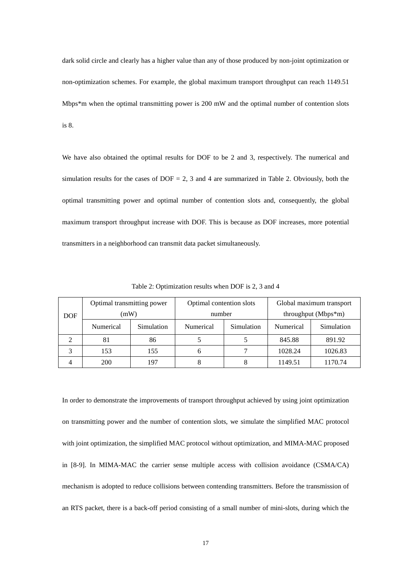dark solid circle and clearly has a higher value than any of those produced by non-joint optimization or non-optimization schemes. For example, the global maximum transport throughput can reach 1149.51 Mbps\*m when the optimal transmitting power is 200 mW and the optimal number of contention slots is 8.

We have also obtained the optimal results for DOF to be 2 and 3, respectively. The numerical and simulation results for the cases of  $DOF = 2$ , 3 and 4 are summarized in Table 2. Obviously, both the optimal transmitting power and optimal number of contention slots and, consequently, the global maximum transport throughput increase with DOF. This is because as DOF increases, more potential transmitters in a neighborhood can transmit data packet simultaneously.

|            | Optimal transmitting power |            | Optimal contention slots |            | Global maximum transport |            |
|------------|----------------------------|------------|--------------------------|------------|--------------------------|------------|
| <b>DOF</b> | (mW)                       |            | number                   |            | throughput (Mbps*m)      |            |
|            | Numerical                  | Simulation | Numerical                | Simulation | Numerical                | Simulation |
|            | 81                         | 86         |                          |            | 845.88                   | 891.92     |
|            | 153                        | 155        |                          |            | 1028.24                  | 1026.83    |
|            | 200                        | 97ء        |                          |            | 1149.51                  | 1170.74    |

Table 2: Optimization results when DOF is 2, 3 and 4

In order to demonstrate the improvements of transport throughput achieved by using joint optimization on transmitting power and the number of contention slots, we simulate the simplified MAC protocol with joint optimization, the simplified MAC protocol without optimization, and MIMA-MAC proposed in [8-9]. In MIMA-MAC the carrier sense multiple access with collision avoidance (CSMA/CA) mechanism is adopted to reduce collisions between contending transmitters. Before the transmission of an RTS packet, there is a back-off period consisting of a small number of mini-slots, during which the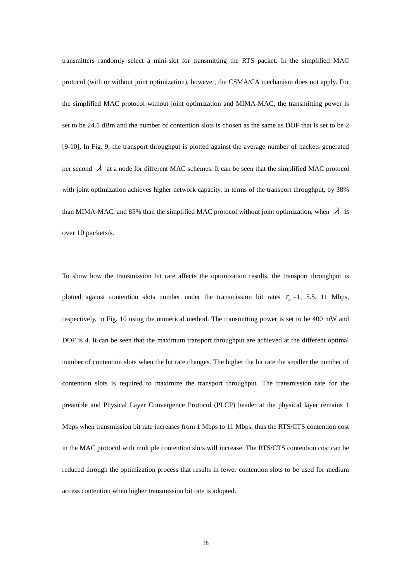transmitters randomly select a mini-slot for transmitting the RTS packet. In the simplified MAC protocol (with or without joint optimization), however, the CSMA/CA mechanism does not apply. For the simplified MAC protocol without joint optimization and MIMA-MAC, the transmitting power is set to be 24.5 dBm and the number of contention slots is chosen as the same as DOF that is set to be 2 [9-10]. In Fig. 9, the transport throughput is plotted against the average number of packets generated per second  $\lambda$  at a node for different MAC schemes. It can be seen that the simplified MAC protocol with joint optimization achieves higher network capacity, in terms of the transport throughput, by 38% than MIMA-MAC, and 85% than the simplified MAC protocol without joint optimization, when  $\lambda$  is over 10 packets/s.

To show how the transmission bit rate affects the optimization results, the transport throughput is plotted against contention slots number under the transmission bit rates  $r_b = 1$ , 5.5, 11 Mbps, respectively, in Fig. 10 using the numerical method. The transmitting power is set to be 400 mW and DOF is 4. It can be seen that the maximum transport throughput are achieved at the different optimal number of contention slots when the bit rate changes. The higher the bit rate the smaller the number of contention slots is required to maximize the transport throughput. The transmission rate for the preamble and Physical Layer Convergence Protocol (PLCP) header at the physical layer remains 1 Mbps when transmission bit rate increases from 1 Mbps to 11 Mbps, thus the RTS/CTS contention cost in the MAC protocol with multiple contention slots will increase. The RTS/CTS contention cost can be reduced through the optimization process that results in fewer contention slots to be used for medium access contention when higher transmission bit rate is adopted.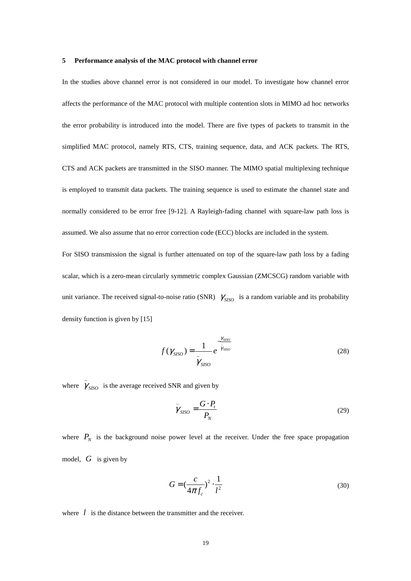#### **5 Performance analysis of the MAC protocol with channel error**

In the studies above channel error is not considered in our model. To investigate how channel error affects the performance of the MAC protocol with multiple contention slots in MIMO ad hoc networks the error probability is introduced into the model. There are five types of packets to transmit in the simplified MAC protocol, namely RTS, CTS, training sequence, data, and ACK packets. The RTS, CTS and ACK packets are transmitted in the SISO manner. The MIMO spatial multiplexing technique is employed to transmit data packets. The training sequence is used to estimate the channel state and normally considered to be error free [9-12]. A Rayleigh-fading channel with square-law path loss is assumed. We also assume that no error correction code (ECC) blocks are included in the system.

For SISO transmission the signal is further attenuated on top of the square-law path loss by a fading scalar, which is a zero-mean circularly symmetric complex Gaussian (ZMCSCG) random variable with unit variance. The received signal-to-noise ratio (SNR)  $\gamma_{SISO}$  is a random variable and its probability density function is given by [15]

$$
f(\gamma_{SISO}) = \frac{1}{\bar{\gamma}_{SISO}} e^{-\bar{\gamma}_{SISO}} \tag{28}
$$

where  $\gamma_{\text{SISO}}$  is the average received SNR and given by

\_

$$
\bar{\gamma}_{SISO} = \frac{G \cdot P_t}{P_N} \tag{29}
$$

where  $P_N$  is the background noise power level at the receiver. Under the free space propagation model, *G* is given by

$$
G = \left(\frac{c}{4\pi f_c}\right)^2 \cdot \frac{1}{l^2}
$$
\n(30)

where *l* is the distance between the transmitter and the receiver.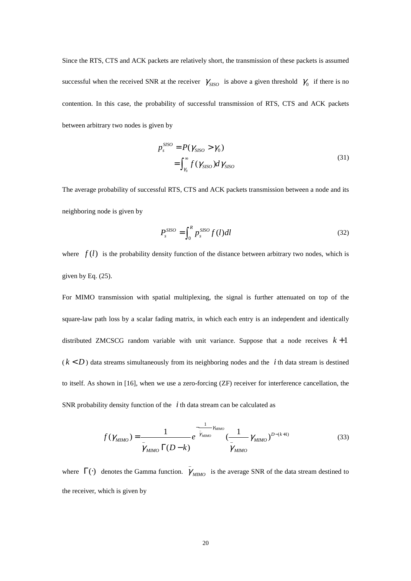Since the RTS, CTS and ACK packets are relatively short, the transmission of these packets is assumed successful when the received SNR at the receiver  $\gamma_{\text{SISO}}$  is above a given threshold  $\gamma_0$  if there is no contention. In this case, the probability of successful transmission of RTS, CTS and ACK packets between arbitrary two nodes is given by

$$
p_s^{SISO} = P(\gamma_{SISO} > \gamma_0)
$$
  
= 
$$
\int_{\gamma_0}^{\infty} f(\gamma_{SISO}) d\gamma_{SISO}
$$
 (31)

The average probability of successful RTS, CTS and ACK packets transmission between a node and its neighboring node is given by

$$
P_s^{SISO} = \int_0^R p_s^{SISO} f(l)dl
$$
 (32)

where  $f(l)$  is the probability density function of the distance between arbitrary two nodes, which is given by Eq. (25).

For MIMO transmission with spatial multiplexing, the signal is further attenuated on top of the square-law path loss by a scalar fading matrix, in which each entry is an independent and identically distributed ZMCSCG random variable with unit variance. Suppose that a node receives  $k+1$  $(k < D)$  data streams simultaneously from its neighboring nodes and the *i* th data stream is destined to itself. As shown in [16], when we use a zero-forcing (ZF) receiver for interference cancellation, the SNR probability density function of the *i* th data stream can be calculated as

$$
f(\gamma_{MIMO}) = \frac{1}{\frac{1}{\gamma_{MIMO}} \Gamma(D-k)} e^{-\frac{1}{\gamma_{MIMO}} \gamma_{MIMO}} \left(\frac{1}{\frac{1}{\gamma_{MIMO}} \gamma_{MIMO}}\right)^{D-(k+1)}
$$
(33)

where  $\Gamma(\cdot)$  denotes the Gamma function.  $\overline{\gamma}$  $\gamma_{MIMO}$  is the average SNR of the data stream destined to the receiver, which is given by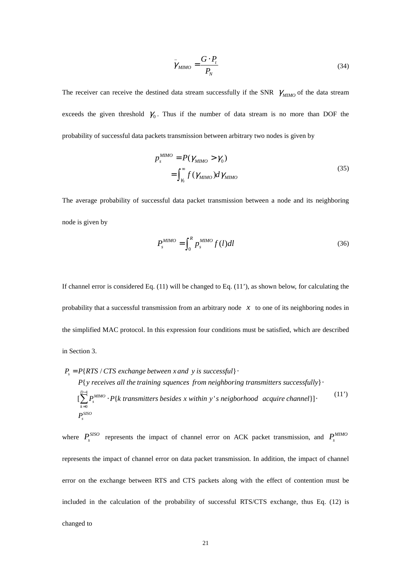$$
\bar{\gamma}_{MIMO} = \frac{G \cdot P_t}{P_N} \tag{34}
$$

The receiver can receive the destined data stream successfully if the SNR  $\gamma_{MMO}$  of the data stream exceeds the given threshold  $\gamma_0$ . Thus if the number of data stream is no more than DOF the probability of successful data packets transmission between arbitrary two nodes is given by

$$
p_s^{MIMO} = P(\gamma_{MIMO} > \gamma_0)
$$
  
= 
$$
\int_{\gamma_0}^{\infty} f(\gamma_{MIMO}) d\gamma_{MIMO}
$$
 (35)

The average probability of successful data packet transmission between a node and its neighboring node is given by

$$
P_s^{MIMO} = \int_0^R p_s^{MIMO} f(l)dl
$$
\n(36)

If channel error is considered Eq. (11) will be changed to Eq. (11'), as shown below, for calculating the probability that a successful transmission from an arbitrary node *x* to one of its neighboring nodes in the simplified MAC protocol. In this expression four conditions must be satisfied, which are described in Section 3.

$$
P_s = P\{RTS \mid CTS \text{ exchange between } x \text{ and } y \text{ is successful}\}
$$
\n
$$
P\{y \text{ receives all the training sequences from neighboring transmitters successfully}\}.
$$
\n
$$
\left[\sum_{k=0}^{D-1} P_s^{MIMO} \cdot P\{k \text{ transmitters besides } x \text{ within } y \text{ is neighborhood} \text{ acquire channel}\}\right].
$$
\n
$$
P_s^{SISO}
$$
\n
$$
(11')
$$

where  $P_s^{SISO}$  represents the impact of channel error on ACK packet transmission, and  $P_s^{MIMO}$ represents the impact of channel error on data packet transmission. In addition, the impact of channel error on the exchange between RTS and CTS packets along with the effect of contention must be included in the calculation of the probability of successful RTS/CTS exchange, thus Eq. (12) is changed to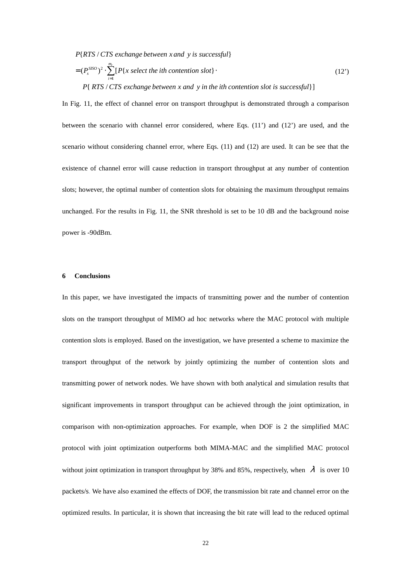P{RTS / CTS exchange between x and y is successful}

$$
= (P_s^{SISO})^2 \cdot \sum_{i=1}^{m_e} [P\{x \text{ select the ith contention slot}\} \cdot (12')
$$
  
 
$$
P\{RTS / CTS \text{ exchange between } x \text{ and } y \text{ in the ith contention slot is successful}\}]
$$

In Fig. 11, the effect of channel error on transport throughput is demonstrated through a comparison between the scenario with channel error considered, where Eqs. (11') and (12') are used, and the scenario without considering channel error, where Eqs. (11) and (12) are used. It can be see that the existence of channel error will cause reduction in transport throughput at any number of contention slots; however, the optimal number of contention slots for obtaining the maximum throughput remains unchanged. For the results in Fig. 11, the SNR threshold is set to be 10 dB and the background noise power is -90dBm.

#### **6 Conclusions**

In this paper, we have investigated the impacts of transmitting power and the number of contention slots on the transport throughput of MIMO ad hoc networks where the MAC protocol with multiple contention slots is employed. Based on the investigation, we have presented a scheme to maximize the transport throughput of the network by jointly optimizing the number of contention slots and transmitting power of network nodes. We have shown with both analytical and simulation results that significant improvements in transport throughput can be achieved through the joint optimization, in comparison with non-optimization approaches. For example, when DOF is 2 the simplified MAC protocol with joint optimization outperforms both MIMA-MAC and the simplified MAC protocol without joint optimization in transport throughput by 38% and 85%, respectively, when  $\lambda$  is over 10 packets/s. We have also examined the effects of DOF, the transmission bit rate and channel error on the optimized results. In particular, it is shown that increasing the bit rate will lead to the reduced optimal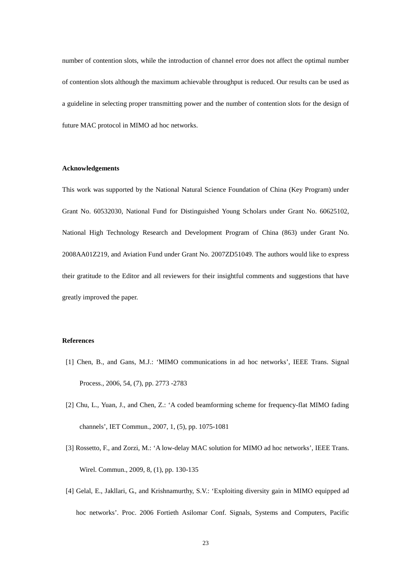number of contention slots, while the introduction of channel error does not affect the optimal number of contention slots although the maximum achievable throughput is reduced. Our results can be used as a guideline in selecting proper transmitting power and the number of contention slots for the design of future MAC protocol in MIMO ad hoc networks.

## **Acknowledgements**

This work was supported by the National Natural Science Foundation of China (Key Program) under Grant No. 60532030, National Fund for Distinguished Young Scholars under Grant No. 60625102, National High Technology Research and Development Program of China (863) under Grant No. 2008AA01Z219, and Aviation Fund under Grant No. 2007ZD51049. The authors would like to express their gratitude to the Editor and all reviewers for their insightful comments and suggestions that have greatly improved the paper.

#### **References**

- [1] Chen, B., and Gans, M.J.: 'MIMO communications in ad hoc networks', IEEE Trans. Signal Process., 2006, 54, (7), pp. 2773 -2783
- [2] Chu, L., Yuan, J., and Chen, Z.: 'A coded beamforming scheme for frequency-flat MIMO fading channels', IET Commun., 2007, 1, (5), pp. 1075-1081
- [3] Rossetto, F., and Zorzi, M.: 'A low-delay MAC solution for MIMO ad hoc networks', IEEE Trans. Wirel. Commun., 2009, 8, (1), pp. 130-135
- [4] Gelal, E., Jakllari, G., and Krishnamurthy, S.V.: 'Exploiting diversity gain in MIMO equipped ad hoc networks'. Proc. 2006 Fortieth Asilomar Conf. Signals, Systems and Computers, Pacific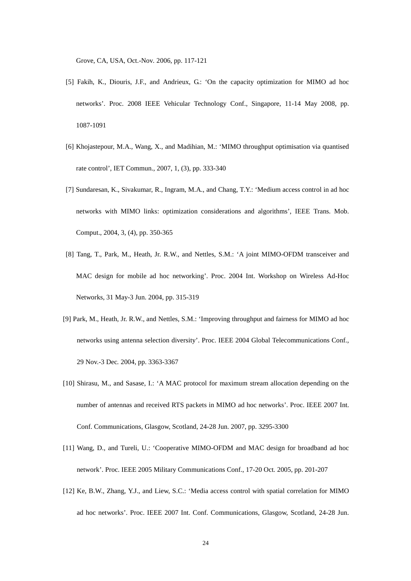Grove, CA, USA, Oct.-Nov*.* 2006, pp. 117-121

- [5] Fakih, K., Diouris, J.F., and Andrieux, G.: 'On the capacity optimization for MIMO ad hoc networks'. Proc. 2008 IEEE Vehicular Technology Conf., Singapore, 11-14 May 2008, pp. 1087-1091
- [6] Khojastepour, M.A., Wang, X., and Madihian, M.: 'MIMO throughput optimisation via quantised rate control', IET Commun., 2007, 1, (3), pp. 333-340
- [7] Sundaresan, K., Sivakumar, R., Ingram, M.A., and Chang, T.Y.: 'Medium access control in ad hoc networks with MIMO links: optimization considerations and algorithms', IEEE Trans. Mob. Comput., 2004, 3, (4), pp. 350-365
- [8] Tang, T., Park, M., Heath, Jr. R.W., and Nettles, S.M.: 'A joint MIMO-OFDM transceiver and MAC design for mobile ad hoc networking'. Proc. 2004 Int. Workshop on Wireless Ad-Hoc Networks, 31 May-3 Jun. 2004, pp. 315-319
- [9] Park, M., Heath, Jr. R.W., and Nettles, S.M.: 'Improving throughput and fairness for MIMO ad hoc networks using antenna selection diversity'. Proc. IEEE 2004 Global Telecommunications Conf., 29 Nov.-3 Dec*.* 2004, pp. 3363-3367
- [10] Shirasu, M., and Sasase, I.: 'A MAC protocol for maximum stream allocation depending on the number of antennas and received RTS packets in MIMO ad hoc networks'. Proc. IEEE 2007 Int. Conf. Communications, Glasgow, Scotland, 24-28 Jun. 2007, pp. 3295-3300
- [11] Wang, D., and Tureli, U.: 'Cooperative MIMO-OFDM and MAC design for broadband ad hoc network'. Proc. IEEE 2005 Military Communications Conf., 17-20 Oct*.* 2005, pp. 201-207
- [12] Ke, B.W., Zhang, Y.J., and Liew, S.C.: 'Media access control with spatial correlation for MIMO ad hoc networks'. Proc. IEEE 2007 Int. Conf. Communications, Glasgow, Scotland, 24-28 Jun.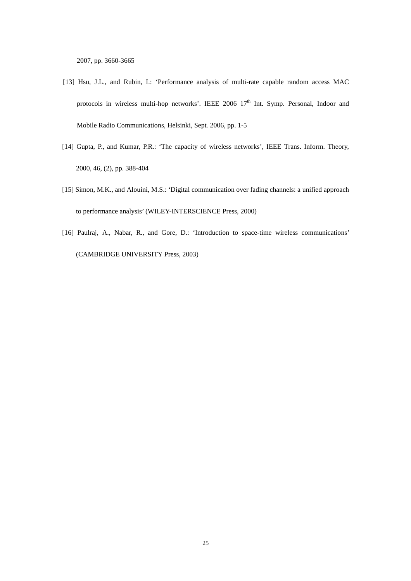2007, pp. 3660-3665

- [13] Hsu, J.L., and Rubin, I.: 'Performance analysis of multi-rate capable random access MAC protocols in wireless multi-hop networks'. IEEE  $2006$   $17<sup>th</sup>$  Int. Symp. Personal, Indoor and Mobile Radio Communications, Helsinki, Sept*.* 2006, pp. 1-5
- [14] Gupta, P., and Kumar, P.R.: 'The capacity of wireless networks', IEEE Trans. Inform. Theory, 2000, 46, (2), pp. 388-404
- [15] Simon, M.K., and Alouini, M.S.: 'Digital communication over fading channels: a unified approach to performance analysis' (WILEY-INTERSCIENCE Press, 2000)
- [16] Paulraj, A., Nabar, R., and Gore, D.: 'Introduction to space-time wireless communications' (CAMBRIDGE UNIVERSITY Press, 2003)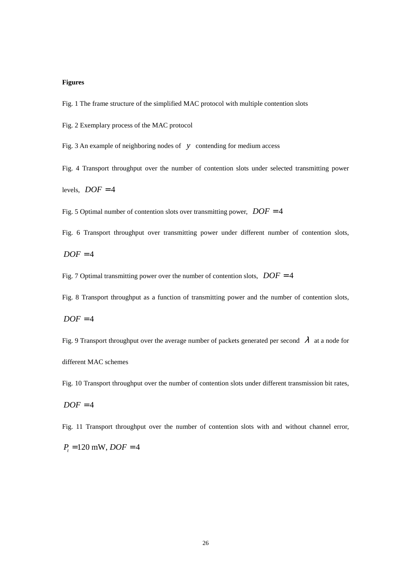## **Figures**

Fig. 1 The frame structure of the simplified MAC protocol with multiple contention slots

Fig. 2 Exemplary process of the MAC protocol

Fig. 3 An example of neighboring nodes of *y* contending for medium access

Fig. 4 Transport throughput over the number of contention slots under selected transmitting power

levels,  $DOF = 4$ 

Fig. 5 Optimal number of contention slots over transmitting power,  $DOF = 4$ 

Fig. 6 Transport throughput over transmitting power under different number of contention slots,

 $DOF = 4$ 

Fig. 7 Optimal transmitting power over the number of contention slots,  $DOF = 4$ 

Fig. 8 Transport throughput as a function of transmitting power and the number of contention slots,

 $DOF = 4$ 

Fig. 9 Transport throughput over the average number of packets generated per second  $\lambda$  at a node for different MAC schemes

Fig. 10 Transport throughput over the number of contention slots under different transmission bit rates,

$$
DOF = 4
$$

Fig. 11 Transport throughput over the number of contention slots with and without channel error,

 $P_t = 120$  mW,  $DOF = 4$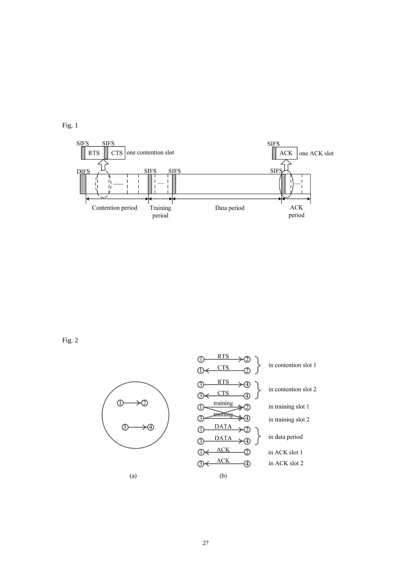



Fig. 2



 $(a)$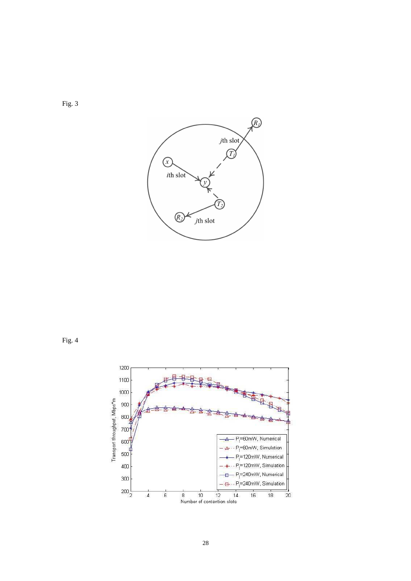

Fig. 4



Fig. 3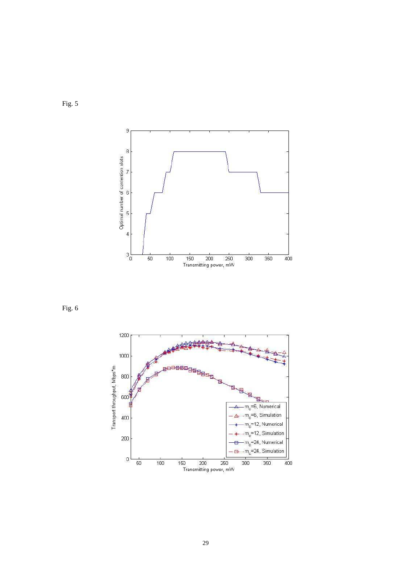

Fig. 6



Fig. 5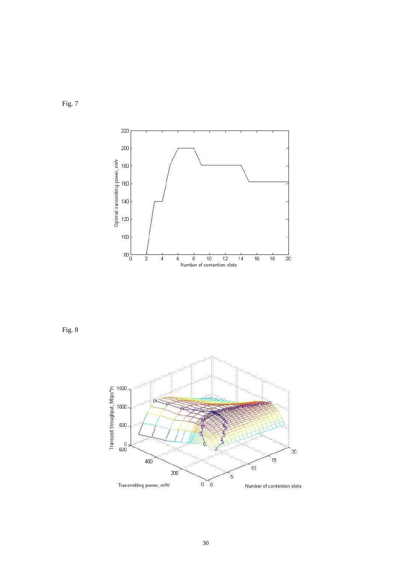



Fig. 8

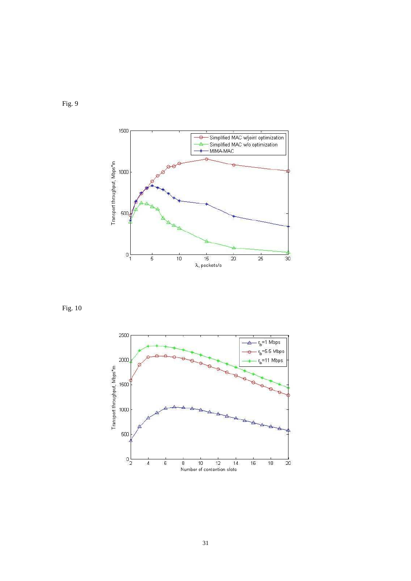

Fig. 9

Fig. 10